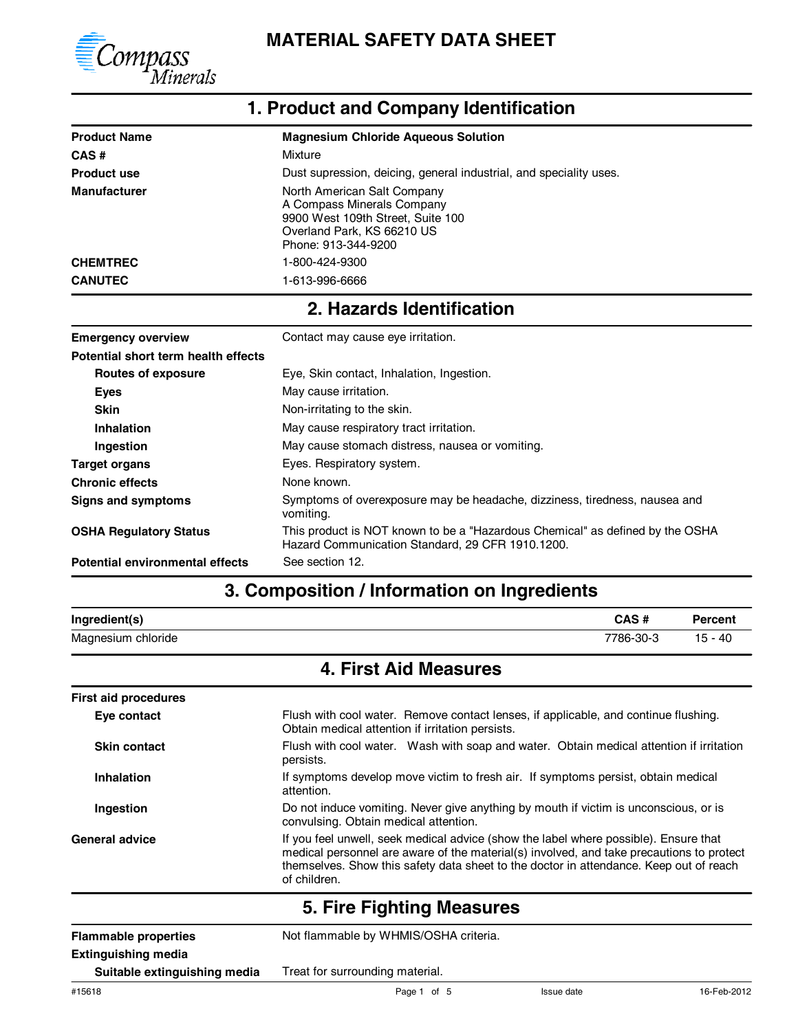

| <b>Product Name</b> | <b>Magnesium Chloride Aqueous Solution</b>                                                                                                          |
|---------------------|-----------------------------------------------------------------------------------------------------------------------------------------------------|
| CAS#                | Mixture                                                                                                                                             |
| <b>Product use</b>  | Dust supression, deicing, general industrial, and speciality uses.                                                                                  |
| <b>Manufacturer</b> | North American Salt Company<br>A Compass Minerals Company<br>9900 West 109th Street, Suite 100<br>Overland Park, KS 66210 US<br>Phone: 913-344-9200 |
| <b>CHEMTREC</b>     | 1-800-424-9300                                                                                                                                      |
| <b>CANUTEC</b>      | 1-613-996-6666                                                                                                                                      |

#### **1. Product and Company Identification**

#### **2. Hazards Identification**

| <b>Emergency overview</b>              | Contact may cause eye irritation.                                                                                                 |  |  |
|----------------------------------------|-----------------------------------------------------------------------------------------------------------------------------------|--|--|
| Potential short term health effects    |                                                                                                                                   |  |  |
| Routes of exposure                     | Eye, Skin contact, Inhalation, Ingestion.                                                                                         |  |  |
| <b>Eyes</b>                            | May cause irritation.                                                                                                             |  |  |
| <b>Skin</b>                            | Non-irritating to the skin.                                                                                                       |  |  |
| <b>Inhalation</b>                      | May cause respiratory tract irritation.                                                                                           |  |  |
| Ingestion                              | May cause stomach distress, nausea or vomiting.                                                                                   |  |  |
| <b>Target organs</b>                   | Eyes. Respiratory system.                                                                                                         |  |  |
| <b>Chronic effects</b>                 | None known.                                                                                                                       |  |  |
| Signs and symptoms                     | Symptoms of overexposure may be headache, dizziness, tiredness, nausea and<br>vomiting.                                           |  |  |
| <b>OSHA Regulatory Status</b>          | This product is NOT known to be a "Hazardous Chemical" as defined by the OSHA<br>Hazard Communication Standard, 29 CFR 1910.1200. |  |  |
| <b>Potential environmental effects</b> | See section 12.                                                                                                                   |  |  |

#### **3. Composition / Information on Ingredients**

| Ingredient(s)      | CAS #     | Percent   |
|--------------------|-----------|-----------|
| Magnesium chloride | 7786-30-3 | $15 - 40$ |

#### **4. First Aid Measures**

| <b>First aid procedures</b>                               |                                                                                                                                                                                                                                                                                            |  |  |
|-----------------------------------------------------------|--------------------------------------------------------------------------------------------------------------------------------------------------------------------------------------------------------------------------------------------------------------------------------------------|--|--|
| Eye contact                                               | Flush with cool water. Remove contact lenses, if applicable, and continue flushing.<br>Obtain medical attention if irritation persists.                                                                                                                                                    |  |  |
| <b>Skin contact</b>                                       | Flush with cool water. Wash with soap and water. Obtain medical attention if irritation<br>persists.                                                                                                                                                                                       |  |  |
| Inhalation                                                | If symptoms develop move victim to fresh air. If symptoms persist, obtain medical<br>attention.                                                                                                                                                                                            |  |  |
| Ingestion                                                 | Do not induce vomiting. Never give anything by mouth if victim is unconscious, or is<br>convulsing. Obtain medical attention.                                                                                                                                                              |  |  |
| <b>General advice</b>                                     | If you feel unwell, seek medical advice (show the label where possible). Ensure that<br>medical personnel are aware of the material(s) involved, and take precautions to protect<br>themselves. Show this safety data sheet to the doctor in attendance. Keep out of reach<br>of children. |  |  |
| 5. Fire Fighting Measures                                 |                                                                                                                                                                                                                                                                                            |  |  |
| <b>Flammable properties</b><br><b>Extinguishing media</b> | Not flammable by WHMIS/OSHA criteria.                                                                                                                                                                                                                                                      |  |  |

**Suitable extinguishing media**

Treat for surrounding material.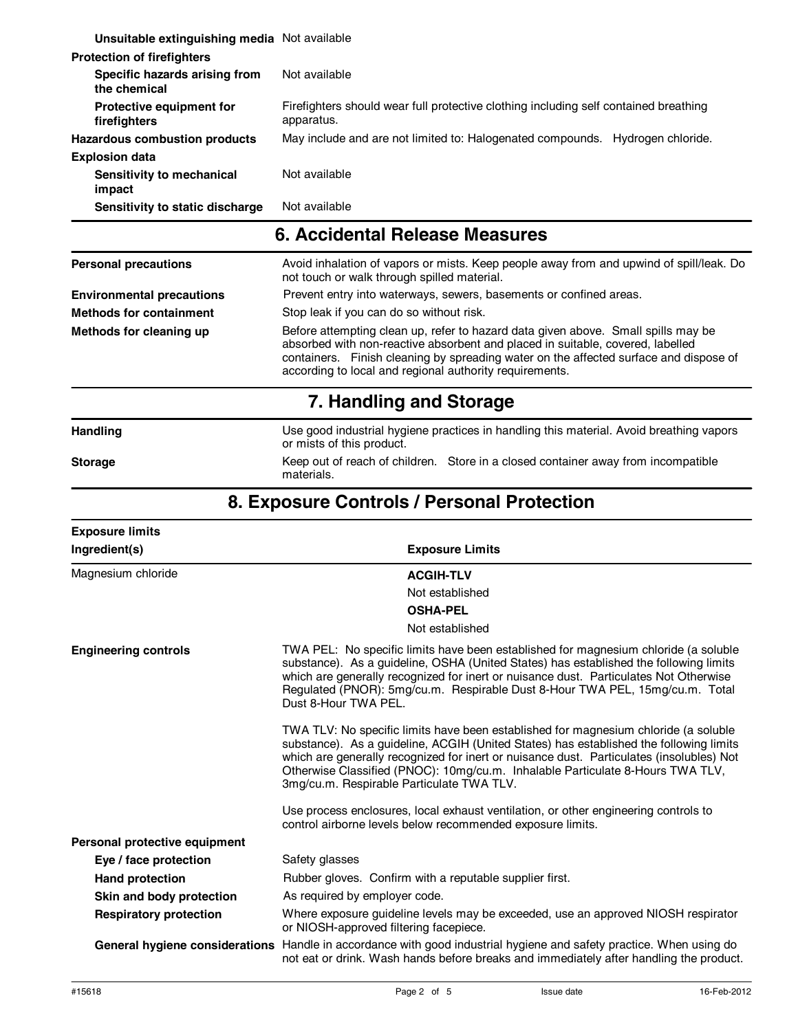| Accidental Delegee Meacures<br>G.             |                                                                                                    |  |  |
|-----------------------------------------------|----------------------------------------------------------------------------------------------------|--|--|
| Sensitivity to static discharge               | Not available                                                                                      |  |  |
| Sensitivity to mechanical<br>impact           | Not available                                                                                      |  |  |
| <b>Explosion data</b>                         |                                                                                                    |  |  |
| <b>Hazardous combustion products</b>          | May include and are not limited to: Halogenated compounds.<br>Hydrogen chloride.                   |  |  |
| Protective equipment for<br>firefighters      | Firefighters should wear full protective clothing including self contained breathing<br>apparatus. |  |  |
| Specific hazards arising from<br>the chemical | Not available                                                                                      |  |  |
| <b>Protection of firefighters</b>             |                                                                                                    |  |  |
| Unsuitable extinguishing media Not available  |                                                                                                    |  |  |

#### **6. Accidental Release Measures**

| <b>Personal precautions</b>      | Avoid inhalation of vapors or mists. Keep people away from and upwind of spill/leak. Do<br>not touch or walk through spilled material.                                                                                                                                                                                  |  |  |
|----------------------------------|-------------------------------------------------------------------------------------------------------------------------------------------------------------------------------------------------------------------------------------------------------------------------------------------------------------------------|--|--|
| <b>Environmental precautions</b> | Prevent entry into waterways, sewers, basements or confined areas.                                                                                                                                                                                                                                                      |  |  |
| <b>Methods for containment</b>   | Stop leak if you can do so without risk.                                                                                                                                                                                                                                                                                |  |  |
| Methods for cleaning up          | Before attempting clean up, refer to hazard data given above. Small spills may be<br>absorbed with non-reactive absorbent and placed in suitable, covered, labelled<br>containers. Finish cleaning by spreading water on the affected surface and dispose of<br>according to local and regional authority requirements. |  |  |
|                                  | 7. Handling and Storage                                                                                                                                                                                                                                                                                                 |  |  |
| <b>Handling</b>                  | Use good industrial hygiene practices in handling this material. Avoid breathing vapors                                                                                                                                                                                                                                 |  |  |

Storage

or mists of this product.

**Storage** Keep out of reach of children. Store in a closed container away from incompatible materials.

#### **8. Exposure Controls / Personal Protection**

| <b>Exposure limits</b>        |                                                                                                                                                                                                                                                                                                                                                                                                          |  |
|-------------------------------|----------------------------------------------------------------------------------------------------------------------------------------------------------------------------------------------------------------------------------------------------------------------------------------------------------------------------------------------------------------------------------------------------------|--|
| Ingredient(s)                 | <b>Exposure Limits</b>                                                                                                                                                                                                                                                                                                                                                                                   |  |
| Magnesium chloride            | <b>ACGIH-TLV</b>                                                                                                                                                                                                                                                                                                                                                                                         |  |
|                               | Not established                                                                                                                                                                                                                                                                                                                                                                                          |  |
|                               | <b>OSHA-PEL</b>                                                                                                                                                                                                                                                                                                                                                                                          |  |
|                               | Not established                                                                                                                                                                                                                                                                                                                                                                                          |  |
| <b>Engineering controls</b>   | TWA PEL: No specific limits have been established for magnesium chloride (a soluble<br>substance). As a guideline, OSHA (United States) has established the following limits<br>which are generally recognized for inert or nuisance dust. Particulates Not Otherwise<br>Regulated (PNOR): 5mg/cu.m. Respirable Dust 8-Hour TWA PEL, 15mg/cu.m. Total<br>Dust 8-Hour TWA PEL.                            |  |
|                               | TWA TLV: No specific limits have been established for magnesium chloride (a soluble<br>substance). As a guideline, ACGIH (United States) has established the following limits<br>which are generally recognized for inert or nuisance dust. Particulates (insolubles) Not<br>Otherwise Classified (PNOC): 10mg/cu.m. Inhalable Particulate 8-Hours TWA TLV,<br>3mg/cu.m. Respirable Particulate TWA TLV. |  |
|                               | Use process enclosures, local exhaust ventilation, or other engineering controls to<br>control airborne levels below recommended exposure limits.                                                                                                                                                                                                                                                        |  |
| Personal protective equipment |                                                                                                                                                                                                                                                                                                                                                                                                          |  |
| Eye / face protection         | Safety glasses                                                                                                                                                                                                                                                                                                                                                                                           |  |
| <b>Hand protection</b>        | Rubber gloves. Confirm with a reputable supplier first.                                                                                                                                                                                                                                                                                                                                                  |  |
| Skin and body protection      | As required by employer code.                                                                                                                                                                                                                                                                                                                                                                            |  |
| <b>Respiratory protection</b> | Where exposure guideline levels may be exceeded, use an approved NIOSH respirator<br>or NIOSH-approved filtering facepiece.                                                                                                                                                                                                                                                                              |  |
|                               | General hygiene considerations Handle in accordance with good industrial hygiene and safety practice. When using do<br>not eat or drink. Wash hands before breaks and immediately after handling the product.                                                                                                                                                                                            |  |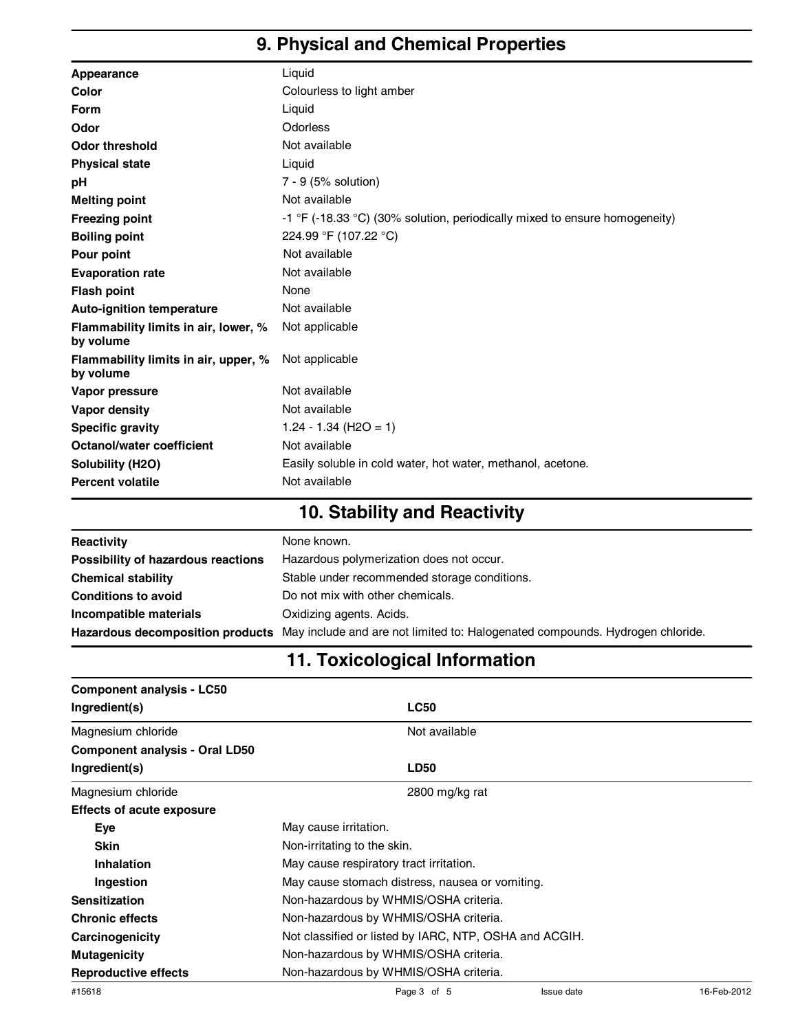### **9. Physical and Chemical Properties**

| Appearance                                        | Liquid                                                                     |
|---------------------------------------------------|----------------------------------------------------------------------------|
| Color                                             | Colourless to light amber                                                  |
| <b>Form</b>                                       | Liquid                                                                     |
| Odor                                              | Odorless                                                                   |
| <b>Odor threshold</b>                             | Not available                                                              |
| <b>Physical state</b>                             | Liquid                                                                     |
| рH                                                | 7 - 9 (5% solution)                                                        |
| <b>Melting point</b>                              | Not available                                                              |
| <b>Freezing point</b>                             | -1 °F (-18.33 °C) (30% solution, periodically mixed to ensure homogeneity) |
| <b>Boiling point</b>                              | 224.99 °F (107.22 °C)                                                      |
| Pour point                                        | Not available                                                              |
| <b>Evaporation rate</b>                           | Not available                                                              |
| <b>Flash point</b>                                | None                                                                       |
| <b>Auto-ignition temperature</b>                  | Not available                                                              |
| Flammability limits in air, lower, %<br>by volume | Not applicable                                                             |
| Flammability limits in air, upper, %<br>by volume | Not applicable                                                             |
| Vapor pressure                                    | Not available                                                              |
| Vapor density                                     | Not available                                                              |
| <b>Specific gravity</b>                           | $1.24 - 1.34$ (H2O = 1)                                                    |
| <b>Octanol/water coefficient</b>                  | Not available                                                              |
| Solubility (H2O)                                  | Easily soluble in cold water, hot water, methanol, acetone.                |
| <b>Percent volatile</b>                           | Not available                                                              |
|                                                   |                                                                            |

### **10. Stability and Reactivity**

| Reactivity                         | None known.                                                                                                    |
|------------------------------------|----------------------------------------------------------------------------------------------------------------|
| Possibility of hazardous reactions | Hazardous polymerization does not occur.                                                                       |
| <b>Chemical stability</b>          | Stable under recommended storage conditions.                                                                   |
| <b>Conditions to avoid</b>         | Do not mix with other chemicals.                                                                               |
| Incompatible materials             | Oxidizing agents. Acids.                                                                                       |
|                                    | Hazardous decomposition products May include and are not limited to: Halogenated compounds. Hydrogen chloride. |

#### **11. Toxicological Information**

| <b>Component analysis - LC50</b><br>Ingredient(s) | <b>LC50</b>                                            |                   |             |  |
|---------------------------------------------------|--------------------------------------------------------|-------------------|-------------|--|
| Magnesium chloride                                | Not available                                          |                   |             |  |
| <b>Component analysis - Oral LD50</b>             |                                                        |                   |             |  |
| Ingredient(s)                                     | <b>LD50</b>                                            |                   |             |  |
| Magnesium chloride                                | 2800 mg/kg rat                                         |                   |             |  |
| <b>Effects of acute exposure</b>                  |                                                        |                   |             |  |
| <b>Eye</b>                                        | May cause irritation.                                  |                   |             |  |
| <b>Skin</b>                                       | Non-irritating to the skin.                            |                   |             |  |
| <b>Inhalation</b>                                 | May cause respiratory tract irritation.                |                   |             |  |
| Ingestion                                         | May cause stomach distress, nausea or vomiting.        |                   |             |  |
| <b>Sensitization</b>                              | Non-hazardous by WHMIS/OSHA criteria.                  |                   |             |  |
| <b>Chronic effects</b>                            | Non-hazardous by WHMIS/OSHA criteria.                  |                   |             |  |
| Carcinogenicity                                   | Not classified or listed by IARC, NTP, OSHA and ACGIH. |                   |             |  |
| <b>Mutagenicity</b>                               | Non-hazardous by WHMIS/OSHA criteria.                  |                   |             |  |
| <b>Reproductive effects</b>                       | Non-hazardous by WHMIS/OSHA criteria.                  |                   |             |  |
| #15618                                            | Page 3 of 5                                            | <b>Issue</b> date | 16-Feb-2012 |  |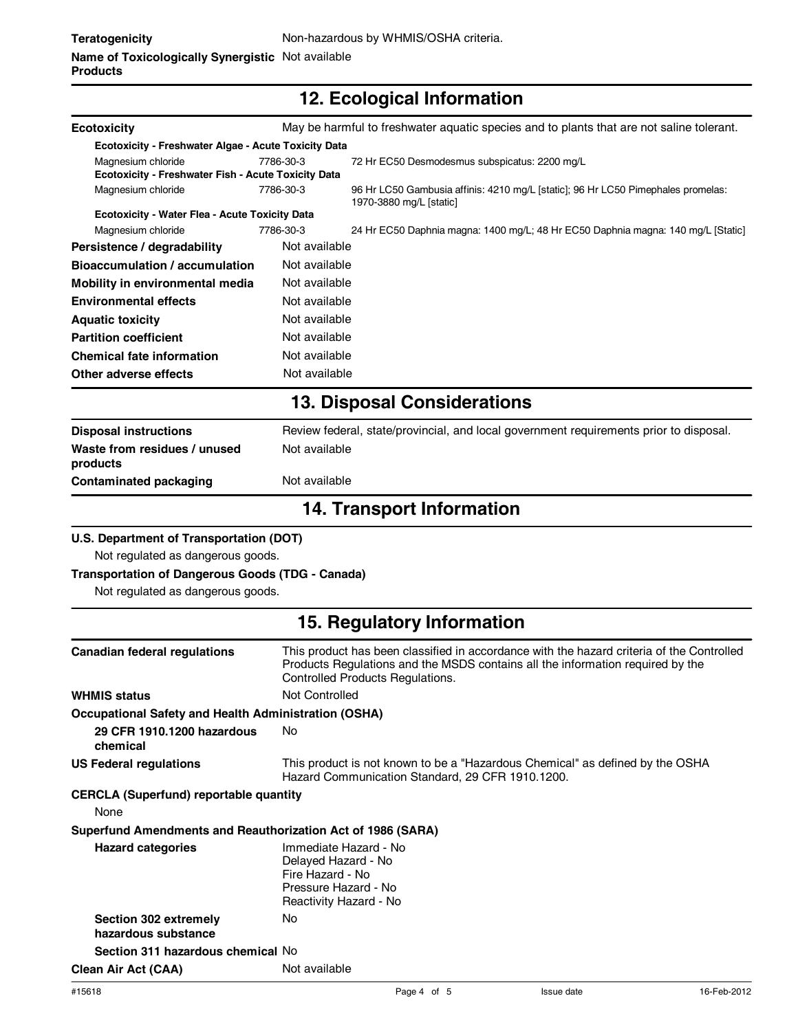## **12. Ecological Information**

| <b>Ecotoxicity</b>                                                        |                                                                                                                    | May be harmful to freshwater aquatic species and to plants that are not saline tolerant.                                                                                                                        |  |
|---------------------------------------------------------------------------|--------------------------------------------------------------------------------------------------------------------|-----------------------------------------------------------------------------------------------------------------------------------------------------------------------------------------------------------------|--|
| Ecotoxicity - Freshwater Algae - Acute Toxicity Data                      |                                                                                                                    |                                                                                                                                                                                                                 |  |
| Magnesium chloride<br>Ecotoxicity - Freshwater Fish - Acute Toxicity Data | 7786-30-3                                                                                                          | 72 Hr EC50 Desmodesmus subspicatus: 2200 mg/L                                                                                                                                                                   |  |
| Magnesium chloride                                                        | 7786-30-3                                                                                                          | 96 Hr LC50 Gambusia affinis: 4210 mg/L [static]; 96 Hr LC50 Pimephales promelas:<br>1970-3880 mg/L [static]                                                                                                     |  |
| <b>Ecotoxicity - Water Flea - Acute Toxicity Data</b>                     |                                                                                                                    |                                                                                                                                                                                                                 |  |
| Magnesium chloride                                                        | 7786-30-3                                                                                                          | 24 Hr EC50 Daphnia magna: 1400 mg/L; 48 Hr EC50 Daphnia magna: 140 mg/L [Static]                                                                                                                                |  |
| Persistence / degradability                                               | Not available                                                                                                      |                                                                                                                                                                                                                 |  |
| <b>Bioaccumulation / accumulation</b>                                     | Not available                                                                                                      |                                                                                                                                                                                                                 |  |
| Mobility in environmental media                                           | Not available                                                                                                      |                                                                                                                                                                                                                 |  |
| <b>Environmental effects</b>                                              | Not available                                                                                                      |                                                                                                                                                                                                                 |  |
| <b>Aquatic toxicity</b>                                                   | Not available                                                                                                      |                                                                                                                                                                                                                 |  |
| <b>Partition coefficient</b>                                              | Not available                                                                                                      |                                                                                                                                                                                                                 |  |
| <b>Chemical fate information</b>                                          | Not available                                                                                                      |                                                                                                                                                                                                                 |  |
| Other adverse effects                                                     | Not available                                                                                                      |                                                                                                                                                                                                                 |  |
|                                                                           |                                                                                                                    | <b>13. Disposal Considerations</b>                                                                                                                                                                              |  |
| <b>Disposal instructions</b>                                              |                                                                                                                    | Review federal, state/provincial, and local government requirements prior to disposal.                                                                                                                          |  |
| Waste from residues / unused<br>products                                  | Not available                                                                                                      |                                                                                                                                                                                                                 |  |
| <b>Contaminated packaging</b>                                             | Not available                                                                                                      |                                                                                                                                                                                                                 |  |
| <b>14. Transport Information</b>                                          |                                                                                                                    |                                                                                                                                                                                                                 |  |
| U.S. Department of Transportation (DOT)                                   |                                                                                                                    |                                                                                                                                                                                                                 |  |
| Not regulated as dangerous goods.                                         |                                                                                                                    |                                                                                                                                                                                                                 |  |
| <b>Transportation of Dangerous Goods (TDG - Canada)</b>                   |                                                                                                                    |                                                                                                                                                                                                                 |  |
| Not regulated as dangerous goods.                                         |                                                                                                                    |                                                                                                                                                                                                                 |  |
|                                                                           |                                                                                                                    | 15. Regulatory Information                                                                                                                                                                                      |  |
| <b>Canadian federal regulations</b>                                       |                                                                                                                    | This product has been classified in accordance with the hazard criteria of the Controlled<br>Products Regulations and the MSDS contains all the information required by the<br>Controlled Products Regulations. |  |
| <b>WHMIS status</b>                                                       | Not Controlled                                                                                                     |                                                                                                                                                                                                                 |  |
| <b>Occupational Safety and Health Administration (OSHA)</b>               |                                                                                                                    |                                                                                                                                                                                                                 |  |
| 29 CFR 1910.1200 hazardous<br>chemical                                    | No                                                                                                                 |                                                                                                                                                                                                                 |  |
| <b>US Federal regulations</b>                                             |                                                                                                                    | This product is not known to be a "Hazardous Chemical" as defined by the OSHA<br>Hazard Communication Standard, 29 CFR 1910.1200.                                                                               |  |
| <b>CERCLA (Superfund) reportable quantity</b><br>None                     |                                                                                                                    |                                                                                                                                                                                                                 |  |
| Superfund Amendments and Reauthorization Act of 1986 (SARA)               |                                                                                                                    |                                                                                                                                                                                                                 |  |
| <b>Hazard categories</b>                                                  | Immediate Hazard - No<br>Delayed Hazard - No<br>Fire Hazard - No<br>Pressure Hazard - No<br>Reactivity Hazard - No |                                                                                                                                                                                                                 |  |
| Section 302 extremely<br>hazardous substance                              | No                                                                                                                 |                                                                                                                                                                                                                 |  |
| Section 311 hazardous chemical No                                         |                                                                                                                    |                                                                                                                                                                                                                 |  |
| <b>Clean Air Act (CAA)</b>                                                | Not available                                                                                                      |                                                                                                                                                                                                                 |  |